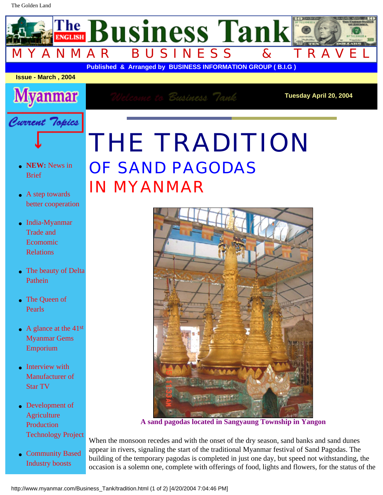## THE TRADITION OF SAND PAGODAS IN MYANMAR



**A sand pagodas located in Sangyaung Township in Yangon**

When the monsoon recedes and with the onset of the dry season, sand banks and sand dunes appear in rivers, signaling the start of the traditional Myanmar festival of Sand Pagodas. The building of the temporary pagodas is completed in just one day, but speed not withstanding, the occasion is a solemn one, complete with offerings of food, lights and flowers, for the status of the